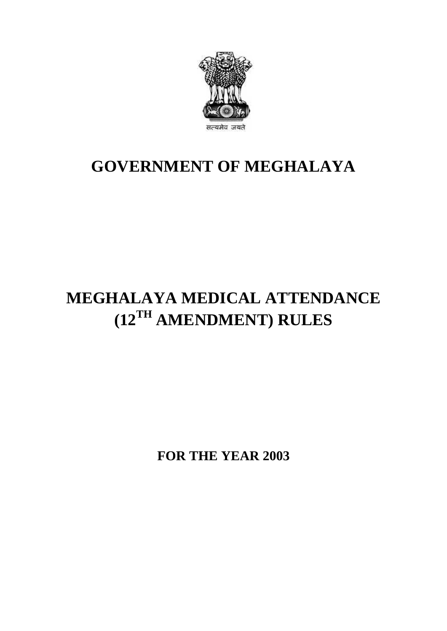

## **GOVERNMENT OF MEGHALAYA**

# **MEGHALAYA MEDICAL ATTENDANCE (12TH AMENDMENT) RULES**

**FOR THE YEAR 2003**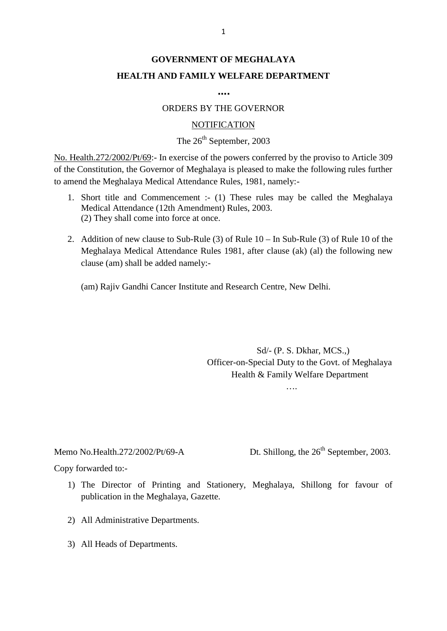## **GOVERNMENT OF MEGHALAYA HEALTH AND FAMILY WELFARE DEPARTMENT**

**….**

#### ORDERS BY THE GOVERNOR

#### **NOTIFICATION**

### The  $26<sup>th</sup>$  September, 2003

No. Health.272/2002/Pt/69:- In exercise of the powers conferred by the proviso to Article 309 of the Constitution, the Governor of Meghalaya is pleased to make the following rules further to amend the Meghalaya Medical Attendance Rules, 1981, namely:- 1. Health.272/2002/Pt/69:- In exercise of the powers conferred by the proviso to Article 309<br>he Constitution, the Governor of Meghalaya is pleased to make the following rules further<br>mend the Meghalaya Medical Attendance R alth.272/2002/Pt/69:- In exercise of the powers conferred<br>Constitution, the Governor of Meghalaya is pleased to maked the Meghalaya Medical Attendance Rules, 1981, namel<br>Short title and Commencement :- (1) These rules ma<br>M

- (2) They shall come into force at once. 2. Addition of new clause to Sub-Rule (3) of Rule 10 – In Sub-Rule (3) of Rule 10 of the Meghalaya Medical Attendance (12th Amendment) Rules, 2003.<br>
2. Addition of new clause to Sub-Rule (3) of Rule 10 – In Sub-Rule (3) o
- Short title and Commencement :- (1) These rules may be called the Meghalaya<br>Medical Attendance (12th Amendment) Rules, 2003.<br>(2) They shall come into force at once.<br>Addition of new clause to Sub-Rule (3) of Rule 10 In Su clause (am) shall be added namely:- 2. Addition of new clause to Sub-Rule (3) of Rule  $10 - \text{In Sub-Rule}$  (3) of Rule  $10$  of the Meghalaya Medical Attendance Rules 1981, after clause (ak) (al) the following new clause (am) shall be added namely:-<br>(am) Rajiv Gand

Sd/- (P. S. Dkhar, MCS.,)<br>Officer-on-Special Duty to the Govt. of Meghalaya Sd/- (P. S. Dkhar, MCS.,)<br>Officer-on-Special Duty to the Govt. of Meghalaya<br>Health & Family Welfare Department Health & Family Welfare Department

….

Memo No.Health.272/200<br>Copy forwarded to:-<br>1) The Director of

Memo No.Health.272/2002/Pt/69-A Dt. Shillong, the 26<sup>th</sup> September, 2003.<br>Copy forwarded to:-

- 1) The Director of Printing and Stationery, Meghalaya, Shillong for favour of publication in the Meghalaya, Gazette. publication in the Meghalaya, Gazette. by forwarded to:-<br>
2) The Director of Printing and Sta<br>
publication in the Meghalaya, Gazette<br>
2) All Administrative Departments.
- 2) All Administrative Departments.<br>3) All Heads of Departments.
-